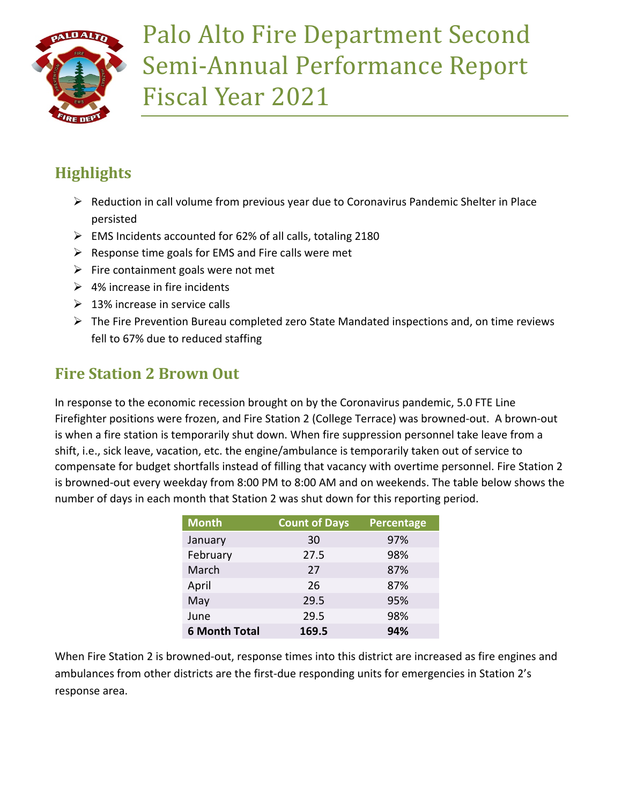

# Palo Alto Fire Department Second Semi-Annual Performance Report Fiscal Year 2021

# **Highlights**

- $\triangleright$  Reduction in call volume from previous year due to Coronavirus Pandemic Shelter in Place persisted
- $\triangleright$  EMS Incidents accounted for 62% of all calls, totaling 2180
- $\triangleright$  Response time goals for EMS and Fire calls were met
- $\triangleright$  Fire containment goals were not met
- $\geq 4\%$  increase in fire incidents
- $\geq 13\%$  increase in service calls
- $\triangleright$  The Fire Prevention Bureau completed zero State Mandated inspections and, on time reviews fell to 67% due to reduced staffing

## **Fire Station 2 Brown Out**

In response to the economic recession brought on by the Coronavirus pandemic, 5.0 FTE Line Firefighter positions were frozen, and Fire Station 2 (College Terrace) was browned-out. A brown-out is when a fire station is temporarily shut down. When fire suppression personnel take leave from a shift, i.e., sick leave, vacation, etc. the engine/ambulance is temporarily taken out of service to compensate for budget shortfalls instead of filling that vacancy with overtime personnel. Fire Station 2 is browned-out every weekday from 8:00 PM to 8:00 AM and on weekends. The table below shows the number of days in each month that Station 2 was shut down for this reporting period.

| <b>Month</b>         | <b>Count of Days</b> | Percentage |
|----------------------|----------------------|------------|
| January              | 30                   | 97%        |
| February             | 27.5                 | 98%        |
| March                | 27                   | 87%        |
| April                | 26                   | 87%        |
| May                  | 29.5                 | 95%        |
| June                 | 29.5                 | 98%        |
| <b>6 Month Total</b> | 169.5                | 94%        |

When Fire Station 2 is browned-out, response times into this district are increased as fire engines and ambulances from other districts are the first-due responding units for emergencies in Station 2's response area.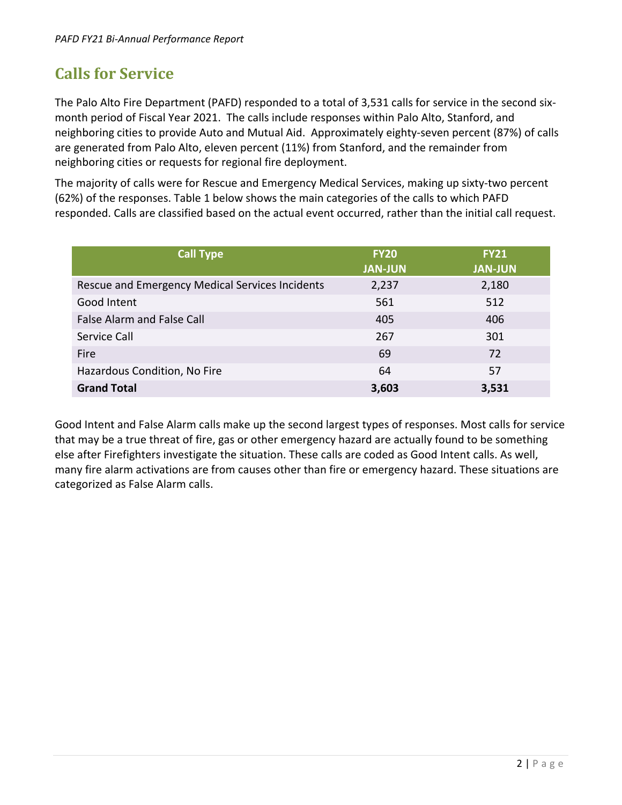### **Calls for Service**

The Palo Alto Fire Department (PAFD) responded to a total of 3,531 calls for service in the second sixmonth period of Fiscal Year 2021. The calls include responses within Palo Alto, Stanford, and neighboring cities to provide Auto and Mutual Aid. Approximately eighty-seven percent (87%) of calls are generated from Palo Alto, eleven percent (11%) from Stanford, and the remainder from neighboring cities or requests for regional fire deployment.

The majority of calls were for Rescue and Emergency Medical Services, making up sixty-two percent (62%) of the responses. Table 1 below shows the main categories of the calls to which PAFD responded. Calls are classified based on the actual event occurred, rather than the initial call request.

| <b>Call Type</b>                                | <b>FY20</b><br><b>JAN-JUN</b> | <b>FY21</b><br><b>JAN-JUN</b> |
|-------------------------------------------------|-------------------------------|-------------------------------|
| Rescue and Emergency Medical Services Incidents | 2,237                         | 2,180                         |
| Good Intent                                     | 561                           | 512                           |
| <b>False Alarm and False Call</b>               | 405                           | 406                           |
| Service Call                                    | 267                           | 301                           |
| Fire                                            | 69                            | 72                            |
| Hazardous Condition, No Fire                    | 64                            | 57                            |
| <b>Grand Total</b>                              | 3,603                         | 3,531                         |

Good Intent and False Alarm calls make up the second largest types of responses. Most calls for service that may be a true threat of fire, gas or other emergency hazard are actually found to be something else after Firefighters investigate the situation. These calls are coded as Good Intent calls. As well, many fire alarm activations are from causes other than fire or emergency hazard. These situations are categorized as False Alarm calls.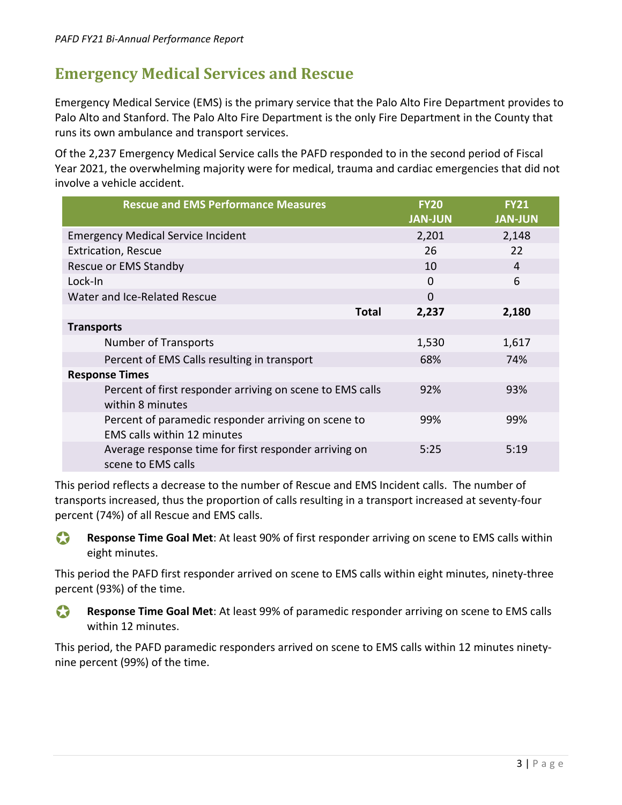#### **Emergency Medical Services and Rescue**

Emergency Medical Service (EMS) is the primary service that the Palo Alto Fire Department provides to Palo Alto and Stanford. The Palo Alto Fire Department is the only Fire Department in the County that runs its own ambulance and transport services.

Of the 2,237 Emergency Medical Service calls the PAFD responded to in the second period of Fiscal Year 2021, the overwhelming majority were for medical, trauma and cardiac emergencies that did not involve a vehicle accident.

| <b>Rescue and EMS Performance Measures</b>                                                | <b>FY20</b>    | <b>FY21</b>    |
|-------------------------------------------------------------------------------------------|----------------|----------------|
|                                                                                           | <b>JAN-JUN</b> | <b>JAN-JUN</b> |
| <b>Emergency Medical Service Incident</b>                                                 | 2,201          | 2,148          |
| <b>Extrication, Rescue</b>                                                                | 26             | 22             |
| Rescue or EMS Standby                                                                     | 10             | 4              |
| Lock-In                                                                                   | $\Omega$       | 6              |
| Water and Ice-Related Rescue                                                              | $\mathbf{0}$   |                |
| <b>Total</b>                                                                              | 2,237          | 2,180          |
| <b>Transports</b>                                                                         |                |                |
| <b>Number of Transports</b>                                                               | 1,530          | 1,617          |
| Percent of EMS Calls resulting in transport                                               | 68%            | 74%            |
| <b>Response Times</b>                                                                     |                |                |
| Percent of first responder arriving on scene to EMS calls<br>within 8 minutes             | 92%            | 93%            |
| Percent of paramedic responder arriving on scene to<br><b>EMS calls within 12 minutes</b> | 99%            | 99%            |
| Average response time for first responder arriving on<br>scene to EMS calls               | 5:25           | 5:19           |

This period reflects a decrease to the number of Rescue and EMS Incident calls. The number of transports increased, thus the proportion of calls resulting in a transport increased at seventy-four percent (74%) of all Rescue and EMS calls.

**Response Time Goal Met**: At least 90% of first responder arriving on scene to EMS calls within eight minutes.

This period the PAFD first responder arrived on scene to EMS calls within eight minutes, ninety-three percent (93%) of the time.

 **Response Time Goal Met**: At least 99% of paramedic responder arriving on scene to EMS calls within 12 minutes.

This period, the PAFD paramedic responders arrived on scene to EMS calls within 12 minutes ninetynine percent (99%) of the time.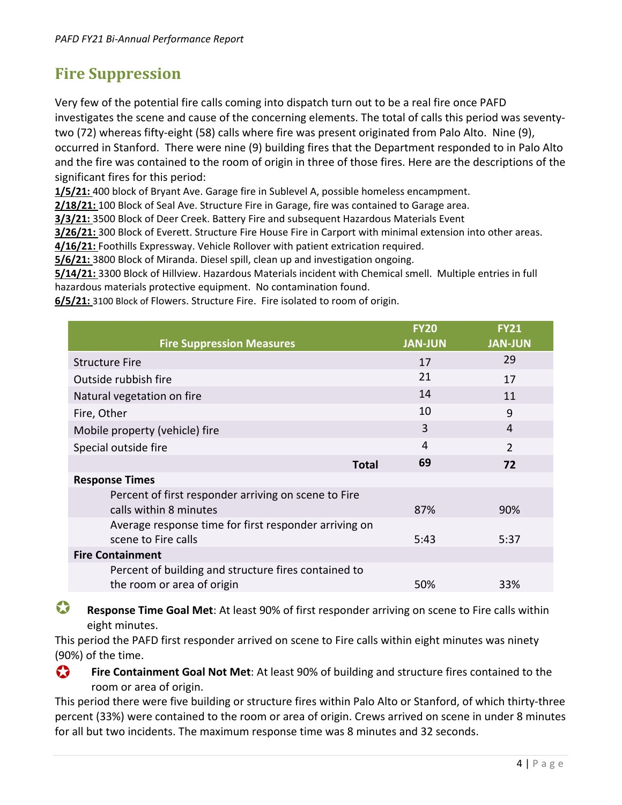#### **Fire Suppression**

Very few of the potential fire calls coming into dispatch turn out to be a real fire once PAFD investigates the scene and cause of the concerning elements. The total of calls this period was seventytwo (72) whereas fifty-eight (58) calls where fire was present originated from Palo Alto. Nine (9), occurred in Stanford. There were nine (9) building fires that the Department responded to in Palo Alto and the fire was contained to the room of origin in three of those fires. Here are the descriptions of the significant fires for this period:

**1/5/21:** 400 block of Bryant Ave. Garage fire in Sublevel A, possible homeless encampment.

**2/18/21:** 100 Block of Seal Ave. Structure Fire in Garage, fire was contained to Garage area.

**3/3/21:** 3500 Block of Deer Creek. Battery Fire and subsequent Hazardous Materials Event

**3/26/21:** 300 Block of Everett. Structure Fire House Fire in Carport with minimal extension into other areas.

**4/16/21:** Foothills Expressway. Vehicle Rollover with patient extrication required. **5/6/21:** 3800 Block of Miranda. Diesel spill, clean up and investigation ongoing.

**5/14/21:** 3300 Block of Hillview. Hazardous Materials incident with Chemical smell. Multiple entries in full

hazardous materials protective equipment. No contamination found.

**6/5/21:** 3100 Block of Flowers. Structure Fire. Fire isolated to room of origin.

|                                                       | <b>FY20</b>    | <b>FY21</b>    |
|-------------------------------------------------------|----------------|----------------|
| <b>Fire Suppression Measures</b>                      | <b>JAN-JUN</b> | <b>JAN-JUN</b> |
| <b>Structure Fire</b>                                 | 17             | 29             |
| Outside rubbish fire                                  | 21             | 17             |
| Natural vegetation on fire                            | 14             | 11             |
| Fire, Other                                           | 10             | 9              |
| Mobile property (vehicle) fire                        | 3              | 4              |
| Special outside fire                                  | 4              | $\overline{2}$ |
| <b>Total</b>                                          | 69             | 72             |
| <b>Response Times</b>                                 |                |                |
| Percent of first responder arriving on scene to Fire  |                |                |
| calls within 8 minutes                                | 87%            | 90%            |
| Average response time for first responder arriving on |                |                |
| scene to Fire calls                                   | 5:43           | 5:37           |
| <b>Fire Containment</b>                               |                |                |
| Percent of building and structure fires contained to  |                |                |
| the room or area of origin                            | 50%            | 33%            |
|                                                       |                |                |

 **Response Time Goal Met**: At least 90% of first responder arriving on scene to Fire calls within eight minutes.

This period the PAFD first responder arrived on scene to Fire calls within eight minutes was ninety (90%) of the time.

**Fire Containment Goal Not Met**: At least 90% of building and structure fires contained to the room or area of origin.

This period there were five building or structure fires within Palo Alto or Stanford, of which thirty-three percent (33%) were contained to the room or area of origin. Crews arrived on scene in under 8 minutes for all but two incidents. The maximum response time was 8 minutes and 32 seconds.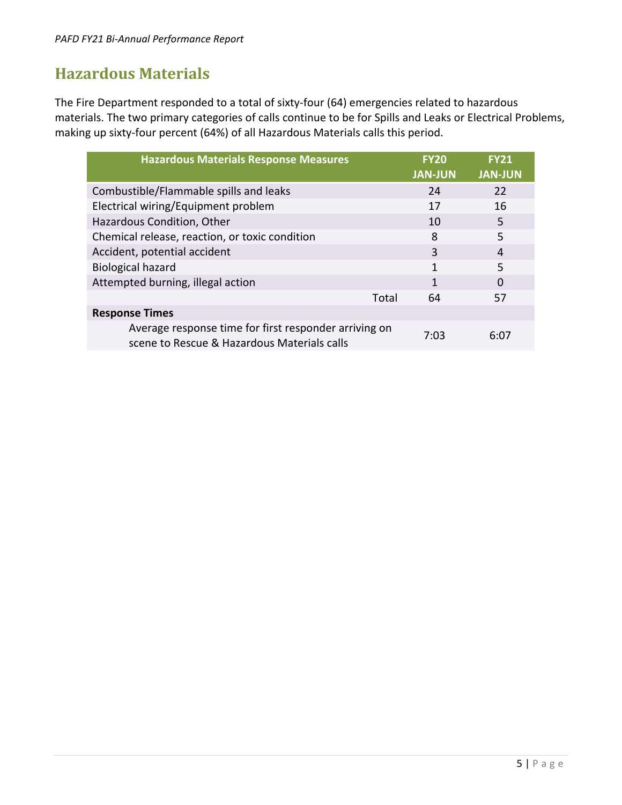#### **Hazardous Materials**

The Fire Department responded to a total of sixty-four (64) emergencies related to hazardous materials. The two primary categories of calls continue to be for Spills and Leaks or Electrical Problems, making up sixty-four percent (64%) of all Hazardous Materials calls this period.

| <b>Hazardous Materials Response Measures</b>                                                         | <b>FY20</b><br><b>JAN-JUN</b> | <b>FY21</b><br><b>JAN-JUN</b> |
|------------------------------------------------------------------------------------------------------|-------------------------------|-------------------------------|
| Combustible/Flammable spills and leaks                                                               | 24                            | 22                            |
| Electrical wiring/Equipment problem                                                                  | 17                            | 16                            |
| Hazardous Condition, Other                                                                           | 10                            | 5                             |
| Chemical release, reaction, or toxic condition                                                       | 8                             | 5                             |
| Accident, potential accident                                                                         | 3                             | 4                             |
| <b>Biological hazard</b>                                                                             | 1                             | 5                             |
| Attempted burning, illegal action                                                                    | 1                             | O                             |
| Total                                                                                                | 64                            | 57                            |
| <b>Response Times</b>                                                                                |                               |                               |
| Average response time for first responder arriving on<br>scene to Rescue & Hazardous Materials calls | 7:03                          | 6:07                          |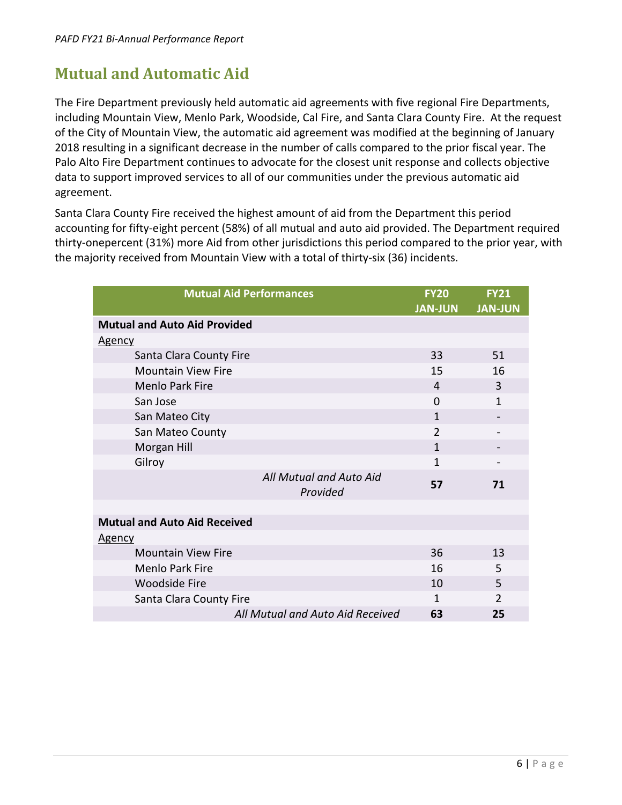#### **Mutual and Automatic Aid**

The Fire Department previously held automatic aid agreements with five regional Fire Departments, including Mountain View, Menlo Park, Woodside, Cal Fire, and Santa Clara County Fire. At the request of the City of Mountain View, the automatic aid agreement was modified at the beginning of January 2018 resulting in a significant decrease in the number of calls compared to the prior fiscal year. The Palo Alto Fire Department continues to advocate for the closest unit response and collects objective data to support improved services to all of our communities under the previous automatic aid agreement.

Santa Clara County Fire received the highest amount of aid from the Department this period accounting for fifty-eight percent (58%) of all mutual and auto aid provided. The Department required thirty-onepercent (31%) more Aid from other jurisdictions this period compared to the prior year, with the majority received from Mountain View with a total of thirty-six (36) incidents.

| <b>Mutual Aid Performances</b>      | <b>FY20</b><br><b>JAN-JUN</b> | <b>FY21</b><br><b>JAN-JUN</b> |
|-------------------------------------|-------------------------------|-------------------------------|
| <b>Mutual and Auto Aid Provided</b> |                               |                               |
| <u>Agency</u>                       |                               |                               |
| Santa Clara County Fire             | 33                            | 51                            |
| <b>Mountain View Fire</b>           | 15                            | 16                            |
| <b>Menlo Park Fire</b>              | 4                             | 3                             |
| San Jose                            | $\Omega$                      | 1                             |
| San Mateo City                      | 1                             |                               |
| San Mateo County                    | $\mathfrak{D}$                |                               |
| Morgan Hill                         | $\mathbf{1}$                  |                               |
| Gilroy                              | 1                             |                               |
| All Mutual and Auto Aid<br>Provided | 57                            | 71                            |
|                                     |                               |                               |
| <b>Mutual and Auto Aid Received</b> |                               |                               |
| <u>Agency</u>                       |                               |                               |
| <b>Mountain View Fire</b>           | 36                            | 13                            |
| <b>Menlo Park Fire</b>              | 16                            | 5                             |
| <b>Woodside Fire</b>                | 10                            | 5                             |
| Santa Clara County Fire             | 1                             | $\overline{2}$                |
| All Mutual and Auto Aid Received    | 63                            | 25                            |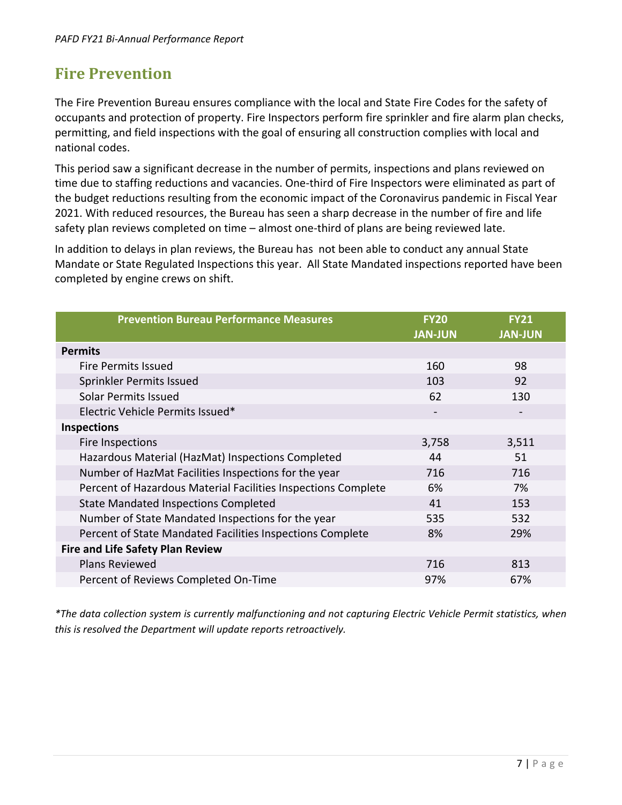### **Fire Prevention**

The Fire Prevention Bureau ensures compliance with the local and State Fire Codes for the safety of occupants and protection of property. Fire Inspectors perform fire sprinkler and fire alarm plan checks, permitting, and field inspections with the goal of ensuring all construction complies with local and national codes.

This period saw a significant decrease in the number of permits, inspections and plans reviewed on time due to staffing reductions and vacancies. One-third of Fire Inspectors were eliminated as part of the budget reductions resulting from the economic impact of the Coronavirus pandemic in Fiscal Year 2021. With reduced resources, the Bureau has seen a sharp decrease in the number of fire and life safety plan reviews completed on time – almost one-third of plans are being reviewed late.

In addition to delays in plan reviews, the Bureau has not been able to conduct any annual State Mandate or State Regulated Inspections this year. All State Mandated inspections reported have been completed by engine crews on shift.

| <b>Prevention Bureau Performance Measures</b>                 | <b>FY20</b><br><b>JAN-JUN</b> | <b>FY21</b><br><b>JAN-JUN</b> |
|---------------------------------------------------------------|-------------------------------|-------------------------------|
| <b>Permits</b>                                                |                               |                               |
| <b>Fire Permits Issued</b>                                    | 160                           | 98                            |
| Sprinkler Permits Issued                                      | 103                           | 92                            |
| Solar Permits Issued                                          | 62                            | 130                           |
| Electric Vehicle Permits Issued*                              |                               | $\overline{\phantom{a}}$      |
| <b>Inspections</b>                                            |                               |                               |
| Fire Inspections                                              | 3,758                         | 3,511                         |
| Hazardous Material (HazMat) Inspections Completed             | 44                            | 51                            |
| Number of HazMat Facilities Inspections for the year          | 716                           | 716                           |
| Percent of Hazardous Material Facilities Inspections Complete | 6%                            | 7%                            |
| <b>State Mandated Inspections Completed</b>                   | 41                            | 153                           |
| Number of State Mandated Inspections for the year             | 535                           | 532                           |
| Percent of State Mandated Facilities Inspections Complete     | 8%                            | 29%                           |
| <b>Fire and Life Safety Plan Review</b>                       |                               |                               |
| <b>Plans Reviewed</b>                                         | 716                           | 813                           |
| Percent of Reviews Completed On-Time                          | 97%                           | 67%                           |

*\*The data collection system is currently malfunctioning and not capturing Electric Vehicle Permit statistics, when this is resolved the Department will update reports retroactively.*